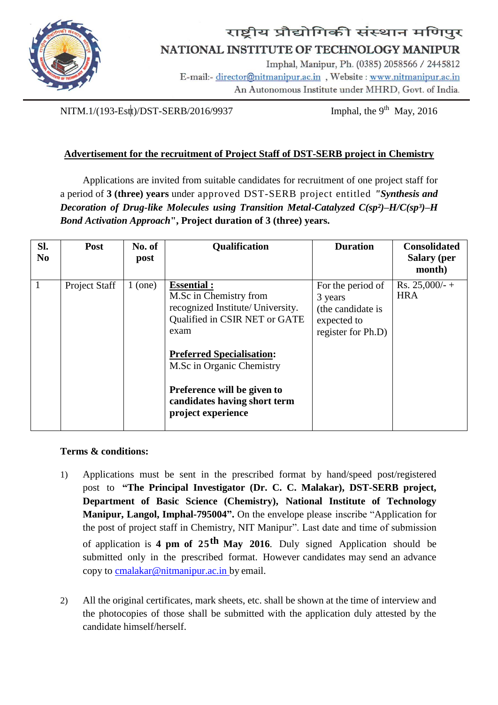

## राष्ट्रीय प्रौद्योगिकी संस्थान मणिपुर NATIONAL INSTITUTE OF TECHNOLOGY MANIPUR

Imphal, Manipur, Ph. (0385) 2058566 / 2445812 E-mail:- director@nitmanipur.ac.in, Website: www.nitmanipur.ac.in An Autonomous Institute under MHRD, Govt. of India.

NITM.1/(193-Estt)/DST-SERB/2016/9937 **Imphal, the 9<sup>th</sup> May, 2016** 

## **Advertisement for the recruitment of Project Staff of DST-SERB project in Chemistry**

Applications are invited from suitable candidates for recruitment of one project staff for a period of **3 (three) years** under approved DST-SERB project entitled *"Synthesis and Decoration of Drug-like Molecules using Transition Metal-Catalyzed C(sp<sup>2</sup>)–H/C(sp<sup>3</sup>)–H Bond Activation Approach***", Project duration of 3 (three) years.**

| SI.<br>N <sub>0</sub> | <b>Post</b>   | No. of<br>post | Qualification                                                                                                                                                                                                            | <b>Duration</b>                                                                        | <b>Consolidated</b><br><b>Salary</b> (per<br>month) |
|-----------------------|---------------|----------------|--------------------------------------------------------------------------------------------------------------------------------------------------------------------------------------------------------------------------|----------------------------------------------------------------------------------------|-----------------------------------------------------|
| 1                     | Project Staff | $1$ (one)      | <b>Essential:</b><br>M.Sc in Chemistry from<br>recognized Institute/University.<br>Qualified in CSIR NET or GATE<br>exam<br><b>Preferred Specialisation:</b><br>M.Sc in Organic Chemistry<br>Preference will be given to | For the period of<br>3 years<br>(the candidate is<br>expected to<br>register for Ph.D) | Rs. $25,000/ - +$<br><b>HRA</b>                     |
|                       |               |                | candidates having short term<br>project experience                                                                                                                                                                       |                                                                                        |                                                     |

## **Terms & conditions:**

- 1) Applications must be sent in the prescribed format by hand/speed post/registered post to **"The Principal Investigator (Dr. C. C. Malakar), DST-SERB project, Department of Basic Science (Chemistry), National Institute of Technology Manipur, Langol, Imphal-795004".** On the envelope please inscribe "Application for the post of project staff in Chemistry, NIT Manipur". Last date and time of submission of application is **4 pm of 25th May 2016**. Duly signed Application should be submitted only in the prescribed format. However candidates may send an advance copy to cmalakar@nitmanipur.ac.in by email.
- 2) All the original certificates, mark sheets, etc. shall be shown at the time of interview and the photocopies of those shall be submitted with the application duly attested by the candidate himself/herself.